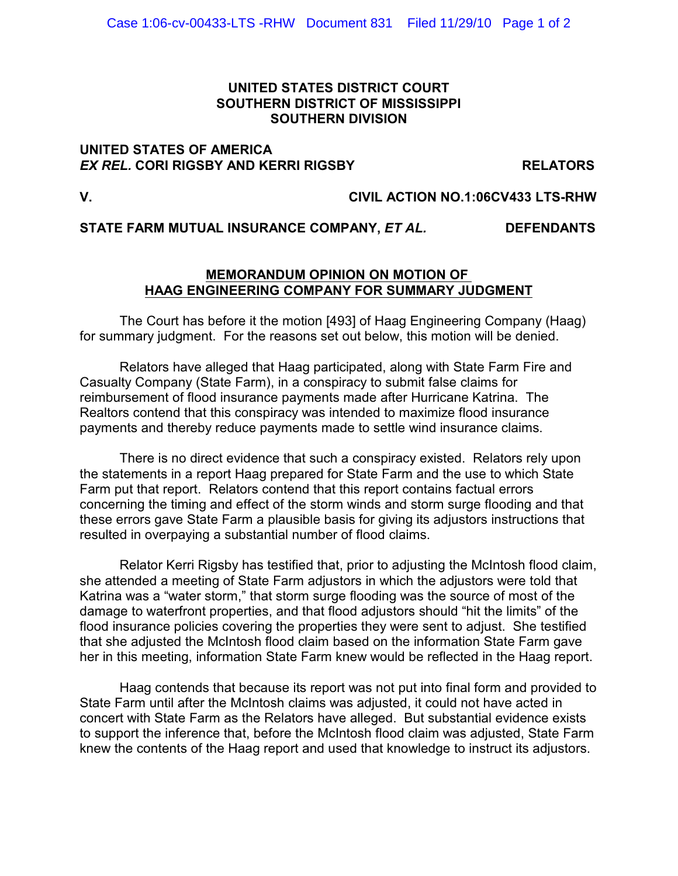## **UNITED STATES DISTRICT COURT SOUTHERN DISTRICT OF MISSISSIPPI SOUTHERN DIVISION**

### **UNITED STATES OF AMERICA**  *EX REL.* **CORI RIGSBY AND KERRI RIGSBY RELATORS**

# **V. CIVIL ACTION NO.1:06CV433 LTS-RHW**

## **STATE FARM MUTUAL INSURANCE COMPANY,** *ET AL.* **DEFENDANTS**

### **MEMORANDUM OPINION ON MOTION OF HAAG ENGINEERING COMPANY FOR SUMMARY JUDGMENT**

The Court has before it the motion [493] of Haag Engineering Company (Haag) for summary judgment. For the reasons set out below, this motion will be denied.

Relators have alleged that Haag participated, along with State Farm Fire and Casualty Company (State Farm), in a conspiracy to submit false claims for reimbursement of flood insurance payments made after Hurricane Katrina. The Realtors contend that this conspiracy was intended to maximize flood insurance payments and thereby reduce payments made to settle wind insurance claims.

There is no direct evidence that such a conspiracy existed. Relators rely upon the statements in a report Haag prepared for State Farm and the use to which State Farm put that report. Relators contend that this report contains factual errors concerning the timing and effect of the storm winds and storm surge flooding and that these errors gave State Farm a plausible basis for giving its adjustors instructions that resulted in overpaying a substantial number of flood claims.

Relator Kerri Rigsby has testified that, prior to adjusting the McIntosh flood claim, she attended a meeting of State Farm adjustors in which the adjustors were told that Katrina was a "water storm," that storm surge flooding was the source of most of the damage to waterfront properties, and that flood adjustors should "hit the limits" of the flood insurance policies covering the properties they were sent to adjust. She testified that she adjusted the McIntosh flood claim based on the information State Farm gave her in this meeting, information State Farm knew would be reflected in the Haag report.

Haag contends that because its report was not put into final form and provided to State Farm until after the McIntosh claims was adjusted, it could not have acted in concert with State Farm as the Relators have alleged. But substantial evidence exists to support the inference that, before the McIntosh flood claim was adjusted, State Farm knew the contents of the Haag report and used that knowledge to instruct its adjustors.